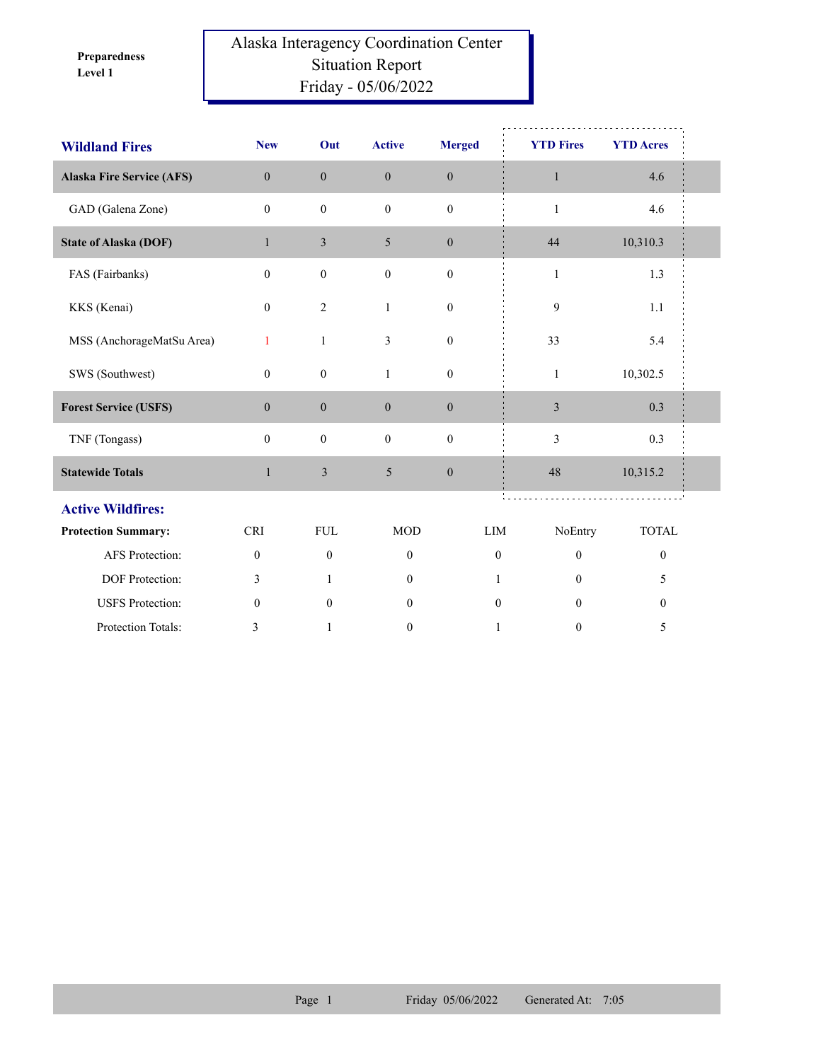**Level 1 Preparedness** 

## Alaska Interagency Coordination Center Situation Report Friday - 05/06/2022

| <b>Wildland Fires</b>            | <b>New</b>       | Out              | <b>Active</b>    | <b>Merged</b>    | <b>YTD Fires</b> | <b>YTD Acres</b> |  |
|----------------------------------|------------------|------------------|------------------|------------------|------------------|------------------|--|
| <b>Alaska Fire Service (AFS)</b> | $\overline{0}$   | $\mathbf{0}$     | $\mathbf{0}$     | $\boldsymbol{0}$ | $\mathbf{1}$     | 4.6              |  |
| GAD (Galena Zone)                | $\mathbf{0}$     | $\boldsymbol{0}$ | $\mathbf{0}$     | $\boldsymbol{0}$ | $\mathbf{1}$     | 4.6              |  |
| <b>State of Alaska (DOF)</b>     | $\mathbf{1}$     | $\mathfrak{Z}$   | 5                | $\mathbf{0}$     | 44               | 10,310.3         |  |
| FAS (Fairbanks)                  | $\theta$         | $\boldsymbol{0}$ | $\boldsymbol{0}$ | $\boldsymbol{0}$ | $\mathbf{1}$     | 1.3              |  |
| KKS (Kenai)                      | $\mathbf{0}$     | $\overline{2}$   | $\mathbf{1}$     | $\mathbf{0}$     | 9                | 1.1              |  |
| MSS (AnchorageMatSu Area)        | 1                | $\mathbf{1}$     | 3                | $\boldsymbol{0}$ | 33               | 5.4              |  |
| SWS (Southwest)                  | $\boldsymbol{0}$ | $\boldsymbol{0}$ | $\mathbf{1}$     | $\boldsymbol{0}$ | $\mathbf{1}$     | 10,302.5         |  |
| <b>Forest Service (USFS)</b>     | $\boldsymbol{0}$ | $\boldsymbol{0}$ | $\boldsymbol{0}$ | $\boldsymbol{0}$ | $\mathfrak{Z}$   | 0.3              |  |
| TNF (Tongass)                    | $\mathbf{0}$     | $\boldsymbol{0}$ | $\boldsymbol{0}$ | $\boldsymbol{0}$ | 3                | 0.3              |  |
| <b>Statewide Totals</b>          | $\mathbf{1}$     | $\mathfrak{Z}$   | $\mathfrak{S}$   | $\boldsymbol{0}$ | 48               | 10,315.2         |  |
| <b>Active Wildfires:</b>         |                  |                  |                  |                  |                  |                  |  |
| <b>Protection Summary:</b>       | <b>CRI</b>       | <b>FUL</b>       | <b>MOD</b>       | LIM              | NoEntry          | <b>TOTAL</b>     |  |
| AFS Protection:                  | $\boldsymbol{0}$ | $\boldsymbol{0}$ | $\mathbf{0}$     | $\mathbf{0}$     | $\boldsymbol{0}$ | $\boldsymbol{0}$ |  |
| DOF Protection:                  | 3                | $\mathbf{1}$     | $\overline{0}$   | 1                | $\Omega$         | 5                |  |
| <b>USFS</b> Protection:          | $\mathbf{0}$     | $\mathbf{0}$     | $\mathbf{0}$     | $\boldsymbol{0}$ | $\theta$         | $\boldsymbol{0}$ |  |
| Protection Totals:               | 3                | 1                | $\boldsymbol{0}$ | $\mathbf{1}$     | $\boldsymbol{0}$ | 5                |  |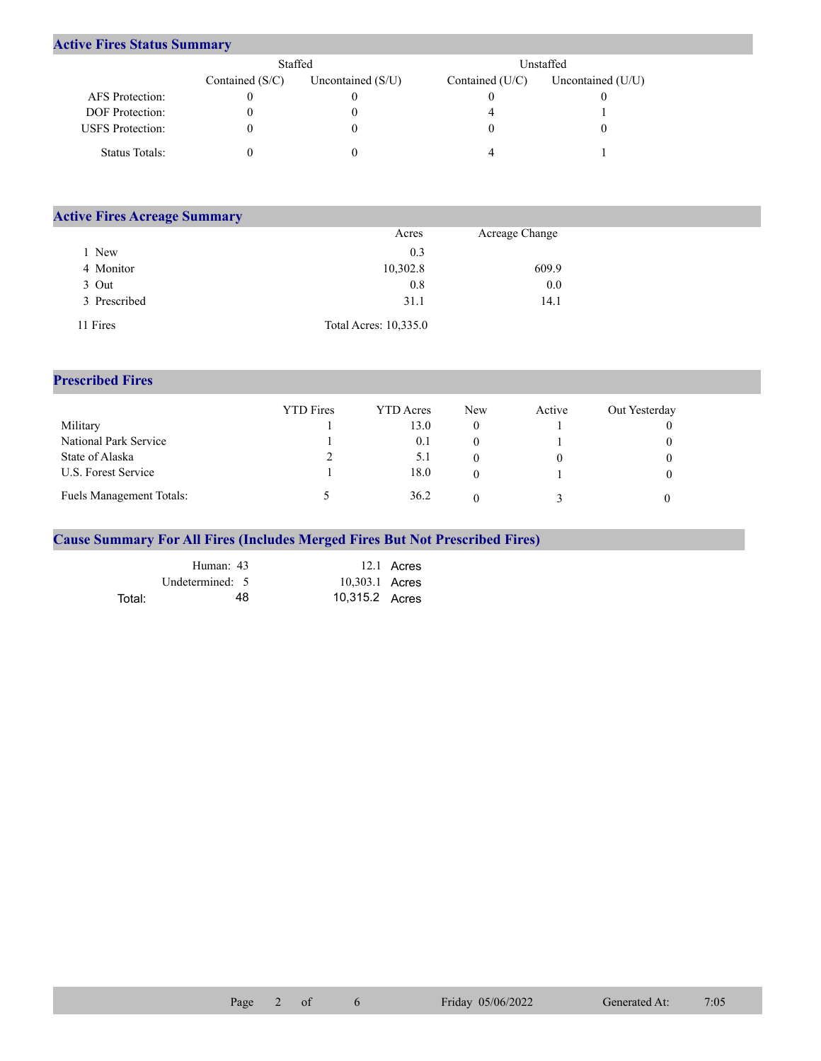## **Active Fires Status Summary**

|                         | Staffed           |                     | Unstaffed       |                     |  |  |
|-------------------------|-------------------|---------------------|-----------------|---------------------|--|--|
|                         | Contained $(S/C)$ | Uncontained $(S/U)$ | Contained (U/C) | Uncontained $(U/U)$ |  |  |
| AFS Protection:         |                   |                     |                 |                     |  |  |
| <b>DOF</b> Protection:  |                   |                     |                 |                     |  |  |
| <b>USFS</b> Protection: |                   |                     |                 |                     |  |  |
| Status Totals:          |                   |                     |                 |                     |  |  |

| <b>Active Fires Acreage Summary</b> |                       |                |  |
|-------------------------------------|-----------------------|----------------|--|
|                                     | Acres                 | Acreage Change |  |
| New                                 | 0.3                   |                |  |
| 4 Monitor                           | 10,302.8              | 609.9          |  |
| 3 Out                               | 0.8                   | 0.0            |  |
| 3 Prescribed                        | 31.1                  | 14.1           |  |
| 11 Fires                            | Total Acres: 10,335.0 |                |  |

## **Prescribed Fires**

|                                 | <b>YTD</b> Fires | <b>YTD</b> Acres | <b>New</b> | Active | Out Yesterday |
|---------------------------------|------------------|------------------|------------|--------|---------------|
| Military                        |                  | 13.0             |            |        |               |
| National Park Service           |                  | 0.1              |            |        |               |
| State of Alaska                 |                  | 5.1              |            |        |               |
| U.S. Forest Service             |                  | 18.0             |            |        |               |
| <b>Fuels Management Totals:</b> |                  | 36.2             |            |        |               |

## **Cause Summary For All Fires (Includes Merged Fires But Not Prescribed Fires)**

|        | Human: 43       |                | 12.1 Acres |
|--------|-----------------|----------------|------------|
|        | Undetermined: 5 | 10,303.1 Acres |            |
| Total: | 48.             | 10,315.2 Acres |            |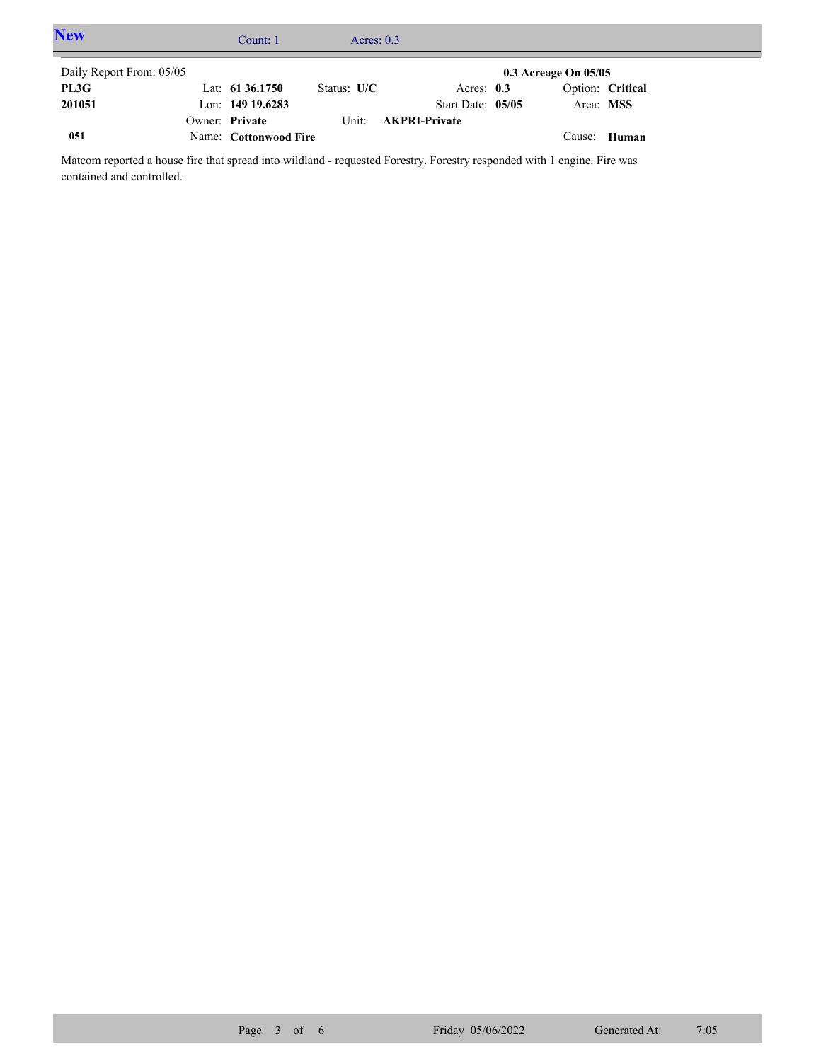| <b>New</b>               | Count: 1              | Acres: $0.3$  |                      |                          |                  |  |
|--------------------------|-----------------------|---------------|----------------------|--------------------------|------------------|--|
| Daily Report From: 05/05 |                       |               |                      | $0.3$ Acreage On $05/05$ |                  |  |
| PL3G                     | Lat: $61\,36.1750$    | Status: $U/C$ | Acres: $0.3$         |                          | Option: Critical |  |
| 201051                   | Lon: $149$ 19.6283    |               | Start Date: 05/05    | Area: MSS                |                  |  |
|                          | Owner: Private        | Unit:         | <b>AKPRI-Private</b> |                          |                  |  |
| 051                      | Name: Cottonwood Fire |               |                      | Cause:                   | Human            |  |

Matcom reported a house fire that spread into wildland - requested Forestry. Forestry responded with 1 engine. Fire was contained and controlled.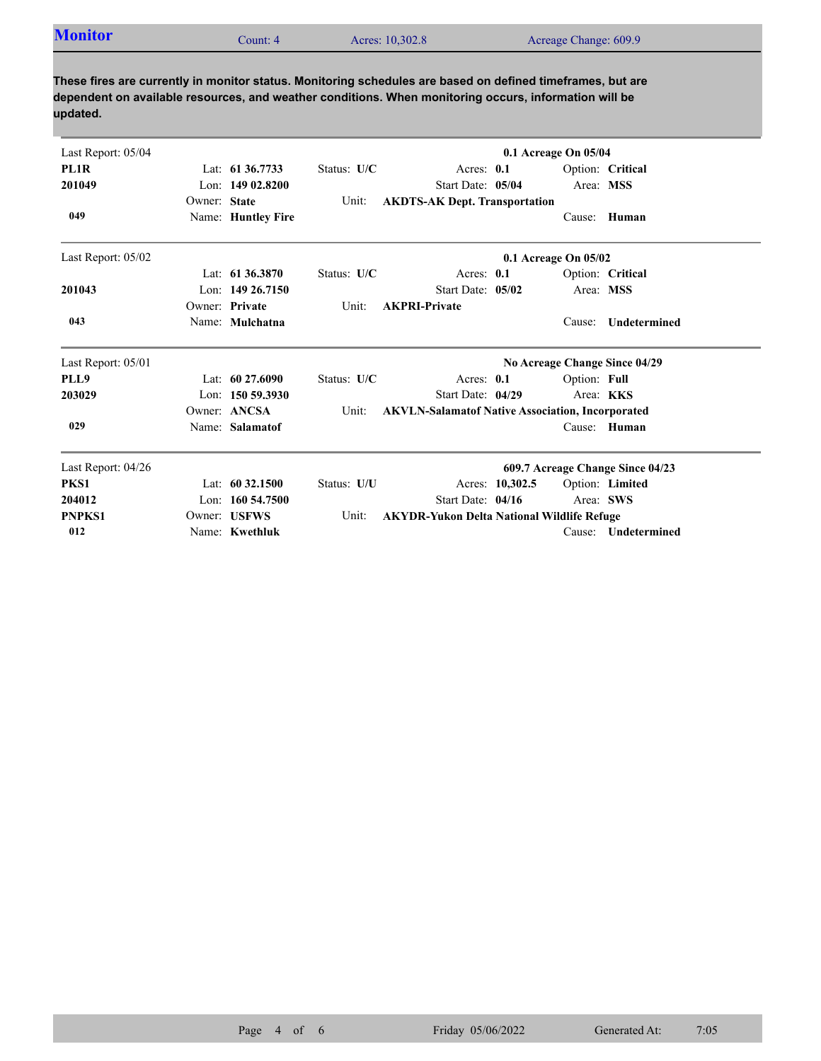| <b>Monitor</b><br>Acres: 10,302.8<br>Acreage Change: 609.9<br>Count: 4 |  |
|------------------------------------------------------------------------|--|
|------------------------------------------------------------------------|--|

**These fires are currently in monitor status. Monitoring schedules are based on defined timeframes, but are dependent on available resources, and weather conditions. When monitoring occurs, information will be updated.**

| Last Report: 05/04 |              |                    |             | 0.1 Acreage On 05/04                                    |                 |                      |                                  |  |  |
|--------------------|--------------|--------------------|-------------|---------------------------------------------------------|-----------------|----------------------|----------------------------------|--|--|
| PL <sub>1</sub> R  |              | Lat: 61 36.7733    | Status: U/C | Acres: $0.1$                                            |                 |                      | Option: Critical                 |  |  |
| 201049             |              | Lon: $14902.8200$  |             | Start Date: 05/04                                       |                 | Area: MSS            |                                  |  |  |
|                    | Owner: State |                    | Unit:       | <b>AKDTS-AK Dept. Transportation</b>                    |                 |                      |                                  |  |  |
| 049                |              | Name: Huntley Fire |             |                                                         |                 |                      | Cause: Human                     |  |  |
| Last Report: 05/02 |              |                    |             |                                                         |                 | 0.1 Acreage On 05/02 |                                  |  |  |
|                    |              | Lat: 61 36.3870    | Status: U/C | Acres: 0.1                                              |                 |                      | Option: Critical                 |  |  |
| 201043             |              | Lon: $14926.7150$  |             | Start Date: 05/02                                       |                 | Area: MSS            |                                  |  |  |
|                    |              | Owner: Private     | Unit:       | <b>AKPRI-Private</b>                                    |                 |                      |                                  |  |  |
| 043                |              | Name: Mulchatna    |             |                                                         |                 | Cause:               | Undetermined                     |  |  |
| Last Report: 05/01 |              |                    |             |                                                         |                 |                      | No Acreage Change Since 04/29    |  |  |
| PLL9               |              | Lat: $6027.6090$   | Status: U/C | Acres: 0.1                                              |                 | Option: Full         |                                  |  |  |
| 203029             |              | Lon: $150,59.3930$ |             | Start Date: 04/29                                       |                 | Area: <b>KKS</b>     |                                  |  |  |
|                    |              | Owner: ANCSA       | Unit:       | <b>AKVLN-Salamatof Native Association, Incorporated</b> |                 |                      |                                  |  |  |
| 029                |              | Name: Salamatof    |             |                                                         |                 |                      | Cause: Human                     |  |  |
| Last Report: 04/26 |              |                    |             |                                                         |                 |                      | 609.7 Acreage Change Since 04/23 |  |  |
| PKS1               |              | Lat: $60\,32.1500$ | Status: U/U |                                                         | Acres: 10,302.5 |                      | Option: Limited                  |  |  |
| 204012             |              | Lon: 160 54.7500   |             | Start Date: 04/16                                       |                 | Area: SWS            |                                  |  |  |
| <b>PNPKS1</b>      |              | Owner: USFWS       | Unit:       | <b>AKYDR-Yukon Delta National Wildlife Refuge</b>       |                 |                      |                                  |  |  |
| 012                |              | Name: Kwethluk     |             |                                                         |                 | Cause:               | <b>Undetermined</b>              |  |  |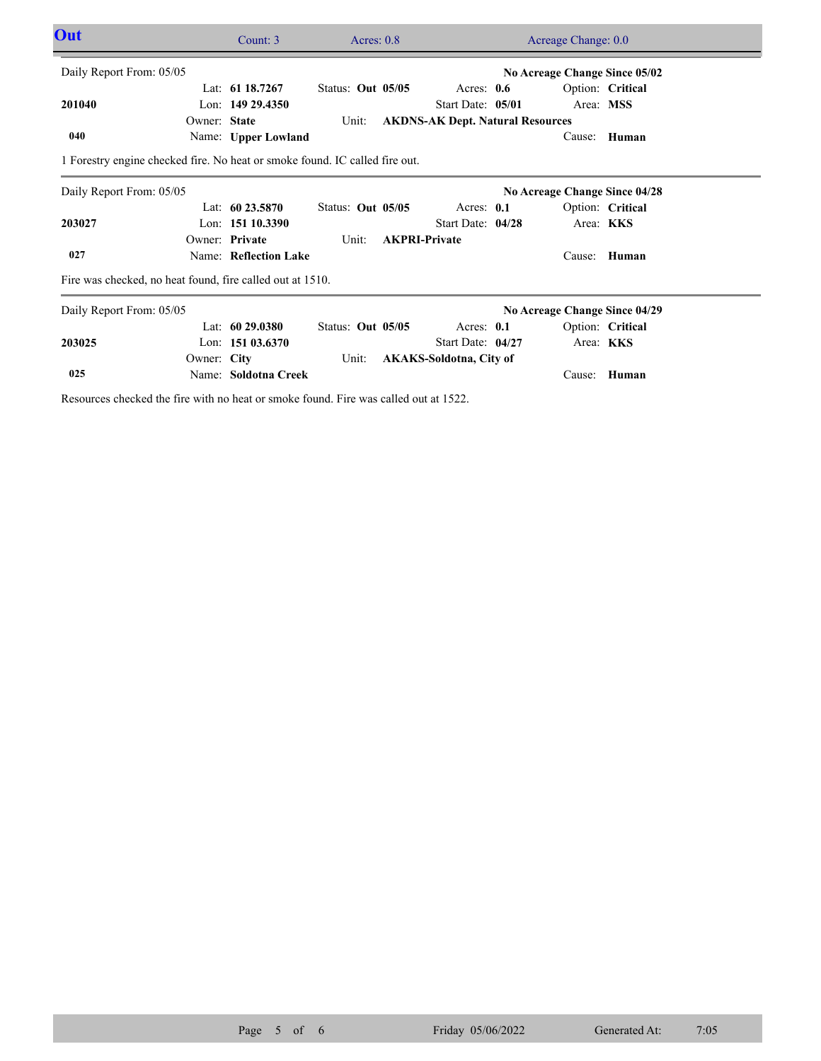| Out                                                                         |              | Count: 3              | Acres: $0.8$             |                                         | Acreage Change: 0.0           |                  |  |
|-----------------------------------------------------------------------------|--------------|-----------------------|--------------------------|-----------------------------------------|-------------------------------|------------------|--|
| Daily Report From: 05/05                                                    |              |                       |                          |                                         | No Acreage Change Since 05/02 |                  |  |
|                                                                             |              | Lat: $61\,18.7267$    | <b>Status: Out 05/05</b> | Acres: $0.6$                            |                               | Option: Critical |  |
| 201040                                                                      |              | Lon: 149 29.4350      |                          | Start Date: 05/01                       | Area: MSS                     |                  |  |
|                                                                             | Owner: State |                       | Unit:                    | <b>AKDNS-AK Dept. Natural Resources</b> |                               |                  |  |
| 040                                                                         |              | Name: Upper Lowland   |                          |                                         | Cause:                        | Human            |  |
| 1 Forestry engine checked fire. No heat or smoke found. IC called fire out. |              |                       |                          |                                         |                               |                  |  |
| Daily Report From: 05/05                                                    |              |                       |                          |                                         | No Acreage Change Since 04/28 |                  |  |
|                                                                             |              | Lat: $6023.5870$      | Status: Out 05/05        | Acres: $0.1$                            |                               | Option: Critical |  |
| 203027                                                                      |              | Lon: $15110.3390$     |                          | Start Date: 04/28                       | Area: KKS                     |                  |  |
|                                                                             |              | Owner: Private        | Unit:                    | <b>AKPRI-Private</b>                    |                               |                  |  |
| 027                                                                         |              | Name: Reflection Lake |                          |                                         | Cause:                        | Human            |  |
| Fire was checked, no heat found, fire called out at 1510.                   |              |                       |                          |                                         |                               |                  |  |
| Daily Report From: 05/05                                                    |              |                       |                          |                                         | No Acreage Change Since 04/29 |                  |  |
|                                                                             |              | Lat: $6029.0380$      | Status: Out 05/05        | Acres: $0.1$                            |                               | Option: Critical |  |
| 203025                                                                      |              | Lon: $15103.6370$     |                          | Start Date: 04/27                       | Area: <b>KKS</b>              |                  |  |
|                                                                             |              |                       | Unit:                    | <b>AKAKS-Soldotna, City of</b>          |                               |                  |  |
|                                                                             | Owner: City  |                       |                          |                                         |                               |                  |  |

Resources checked the fire with no heat or smoke found. Fire was called out at 1522.